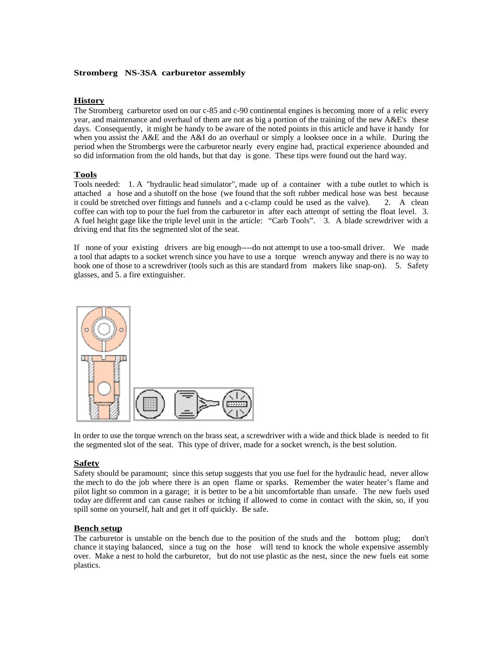## **Stromberg NS-3SA carburetor assembly**

## **History**

The Stromberg carburetor used on our c-85 and c-90 continental engines is becoming more of a relic every year, and maintenance and overhaul of them are not as big a portion of the training of the new A&E's these days. Consequently, it might be handy to be aware of the noted points in this article and have it handy for when you assist the A&E and the A&I do an overhaul or simply a looksee once in a while. During the period when the Strombergs were the carburetor nearly every engine had, practical experience abounded and so did information from the old hands, but that day is gone. These tips were found out the hard way.

## **Tools**

Tools needed: 1. A "hydraulic head simulator", made up of a container with a tube outlet to which is attached a hose and a shutoff on the hose (we found that the soft rubber medical hose was best because it could be stretched over fittings and funnels and a c-clamp could be used as the valve). 2. A clean coffee can with top to pour the fuel from the carburetor in after each attempt of setting the float level. 3. A fuel height gage like the triple level unit in the article: "Carb Tools". 3. A blade screwdriver with a driving end that fits the segmented slot of the seat.

If none of your existing drivers are big enough----do not attempt to use a too-small driver. We made a tool that adapts to a socket wrench since you have to use a torque wrench anyway and there is no way to hook one of those to a screwdriver (tools such as this are standard from makers like snap-on). 5. Safety glasses, and 5. a fire extinguisher.



In order to use the torque wrench on the brass seat, a screwdriver with a wide and thick blade is needed to fit the segmented slot of the seat. This type of driver, made for a socket wrench, is the best solution.

# **Safety**

Safety should be paramount; since this setup suggests that you use fuel for the hydraulic head, never allow the mech to do the job where there is an open flame or sparks. Remember the water heater's flame and pilot light so common in a garage; it is better to be a bit uncomfortable than unsafe. The new fuels used today are different and can cause rashes or itching if allowed to come in contact with the skin, so, if you spill some on yourself, halt and get it off quickly. Be safe.

## **Bench setup**

The carburetor is unstable on the bench due to the position of the studs and the bottom plug; don't chance it staying balanced, since a tug on the hose will tend to knock the whole expensive assembly over. Make a nest to hold the carburetor, but do not use plastic as the nest, since the new fuels eat some plastics.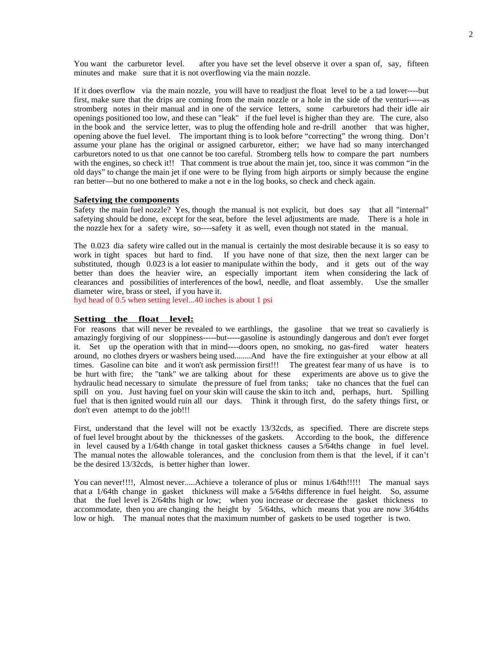You want the carburetor level. after you have set the level observe it over a span of, say, fifteen minutes and make sure that it is not overflowing via the main nozzle.

If it does overflow via the main nozzle, you will have to readjust the float level to be a tad lower----but first, make sure that the drips are coming from the main nozzle or a hole in the side of the venturi-----as stromberg notes in their manual and in one of the service letters, some carburetors had their idle air openings positioned too low, and these can "leak" if the fuel level is higher than they are. The cure, also in the book and the service letter, was to plug the offending hole and re-drill another that was higher, opening above the fuel level. The important thing is to look before "correcting" the wrong thing. Don't assume your plane has the original or assigned carburetor, either; we have had so many interchanged carburetors noted to us that one cannot be too careful. Stromberg tells how to compare the part numbers with the engines, so check it!! That comment is true about the main jet, too, since it was common "in the old days" to change the main jet if one were to be flying from high airports or simply because the engine ran better—but no one bothered to make a not e in the log books, so check and check again.

#### **Safetying the components**

Safety the main fuel nozzle? Yes, though the manual is not explicit, but does say that all "internal" safetying should be done, except for the seat, before the level adjustments are made. There is a hole in the nozzle hex for a safety wire, so----safety it as well, even though not stated in the manual.

The 0.023 dia safety wire called out in the manual is certainly the most desirable because it is so easy to work in tight spaces but hard to find. If you have none of that size, then the next larger can be substituted, though 0.023 is a lot easier to manipulate within the body, and it gets out of the way better than does the heavier wire, an especially important item when considering the lack of clearances and possibilities of interferences of the bowl, needle, and float assembly. Use the smaller diameter wire, brass or steel, if you have it.

hyd head of 0.5 when setting level...40 inches is about 1 psi

#### **Setting the float level:**

For reasons that will never be revealed to we earthlings, the gasoline that we treat so cavalierly is amazingly forgiving of our sloppiness-----but-----gasoline is astoundingly dangerous and don't ever forget it. Set up the operation with that in mind----doors open, no smoking, no gas-fired water heaters around, no clothes dryers or washers being used........And have the fire extinguisher at your elbow at all times. Gasoline can bite and it won't ask permission first!!! The greatest fear many of us have is to be hurt with fire; the "tank" we are talking about for these experiments are above us to give the hydraulic head necessary to simulate the pressure of fuel from tanks; take no chances that the fuel can spill on you. Just having fuel on your skin will cause the skin to itch and, perhaps, hurt. Spilling fuel that is then ignited would ruin all our days. Think it through first, do the safety things first, or don't even attempt to do the job!!!

First, understand that the level will not be exactly 13/32cds, as specified. There are discrete steps of fuel level brought about by the thicknesses of the gaskets. According to the book, the difference in level caused by a 1/64th change in total gasket thickness causes a 5/64ths change in fuel level. The manual notes the allowable tolerances, and the conclusion from them is that the level, if it can't be the desired 13/32cds, is better higher than lower.

You can never!!!!, Almost never.....Achieve a tolerance of plus or minus  $1/64$ th!!!!! The manual says that a 1/64th change in gasket thickness will make a 5/64ths difference in fuel height. So, assume that the fuel level is 2/64ths high or low; when you increase or decrease the gasket thickness to accommodate, then you are changing the height by 5/64ths, which means that you are now 3/64ths low or high. The manual notes that the maximum number of gaskets to be used together is two.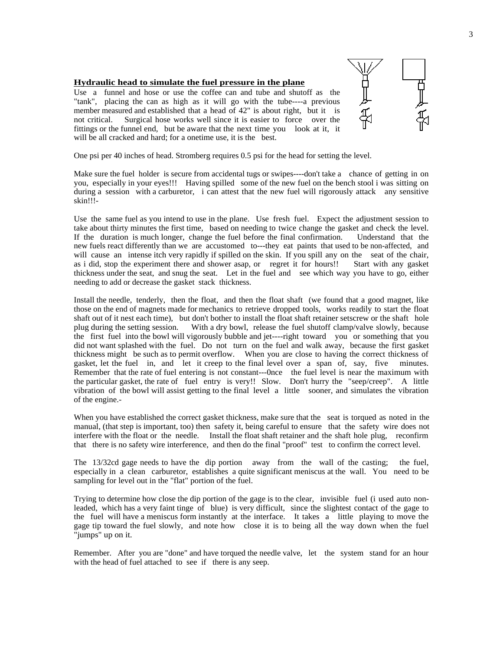## **Hydraulic head to simulate the fuel pressure in the plane**

Use a funnel and hose or use the coffee can and tube and shutoff as the "tank", placing the can as high as it will go with the tube----a previous member measured and established that a head of 42" is about right, but it is not critical. Surgical hose works well since it is easier to force over the fittings or the funnel end, but be aware that the next time you look at it, it will be all cracked and hard; for a onetime use, it is the best.



One psi per 40 inches of head. Stromberg requires 0.5 psi for the head for setting the level.

Make sure the fuel holder is secure from accidental tugs or swipes----don't take a chance of getting in on you, especially in your eyes!!! Having spilled some of the new fuel on the bench stool i was sitting on during a session with a carburetor, i can attest that the new fuel will rigorously attack any sensitive skin!!!-

Use the same fuel as you intend to use in the plane. Use fresh fuel. Expect the adjustment session to take about thirty minutes the first time, based on needing to twice change the gasket and check the level. If the duration is much longer, change the fuel before the final confirmation. Understand that the new fuels react differently than we are accustomed to---they eat paints that used to be non-affected, and will cause an intense itch very rapidly if spilled on the skin. If you spill any on the seat of the chair, as i did, stop the experiment there and shower asap, or regret it for hours!! Start with any gasket thickness under the seat, and snug the seat. Let in the fuel and see which way you have to go, either needing to add or decrease the gasket stack thickness.

Install the needle, tenderly, then the float, and then the float shaft (we found that a good magnet, like those on the end of magnets made for mechanics to retrieve dropped tools, works readily to start the float shaft out of it nest each time), but don't bother to install the float shaft retainer setscrew or the shaft hole plug during the setting session. With a dry bowl, release the fuel shutoff clamp/valve slowly, because With a dry bowl, release the fuel shutoff clamp/valve slowly, because the first fuel into the bowl will vigorously bubble and jet----right toward you or something that you did not want splashed with the fuel. Do not turn on the fuel and walk away, because the first gasket thickness might be such as to permit overflow. When you are close to having the correct thickness of gasket, let the fuel in, and let it creep to the final level over a span of, say, five minutes. Remember that the rate of fuel entering is not constant---0nce the fuel level is near the maximum with the particular gasket, the rate of fuel entry is very!! Slow. Don't hurry the "seep/creep". A little vibration of the bowl will assist getting to the final level a little sooner, and simulates the vibration of the engine.-

When you have established the correct gasket thickness, make sure that the seat is torqued as noted in the manual, (that step is important, too) then safety it, being careful to ensure that the safety wire does not interfere with the float or the needle. Install the float shaft retainer and the shaft hole plug, reconfirm that there is no safety wire interference, and then do the final "proof" test to confirm the correct level.

The 13/32cd gage needs to have the dip portion away from the wall of the casting; the fuel, especially in a clean carburetor, establishes a quite significant meniscus at the wall. You need to be sampling for level out in the "flat" portion of the fuel.

Trying to determine how close the dip portion of the gage is to the clear, invisible fuel (i used auto nonleaded, which has a very faint tinge of blue) is very difficult, since the slightest contact of the gage to the fuel will have a meniscus form instantly at the interface. It takes a little playing to move the gage tip toward the fuel slowly, and note how close it is to being all the way down when the fuel "jumps" up on it.

Remember. After you are "done" and have torqued the needle valve, let the system stand for an hour with the head of fuel attached to see if there is any seep.